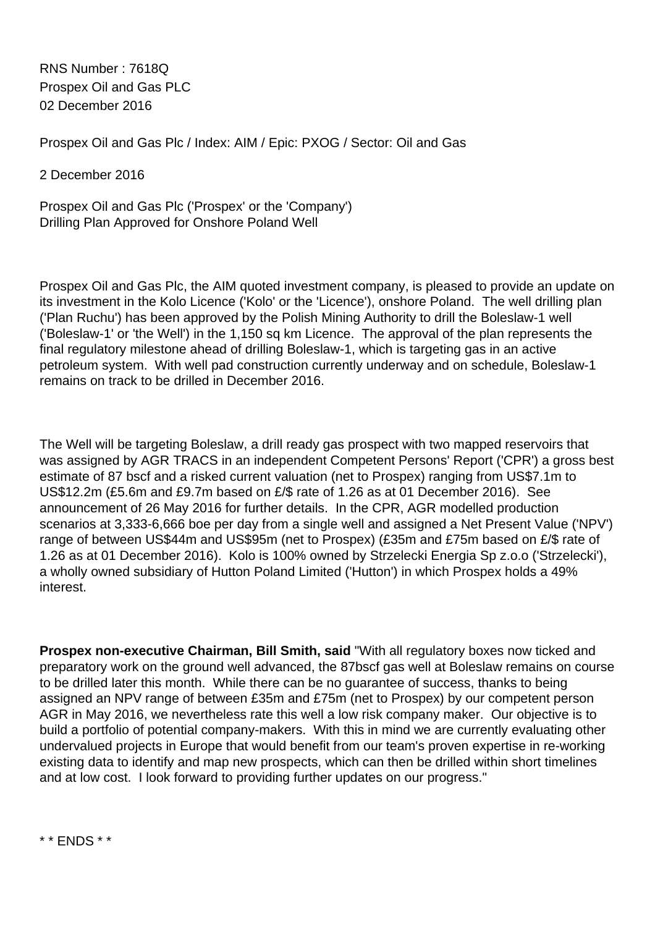RNS Number : 7618Q Prospex Oil and Gas PLC 02 December 2016

Prospex Oil and Gas Plc / Index: AIM / Epic: PXOG / Sector: Oil and Gas

2 December 2016

Prospex Oil and Gas Plc ('Prospex' or the 'Company') Drilling Plan Approved for Onshore Poland Well

Prospex Oil and Gas Plc, the AIM quoted investment company, is pleased to provide an update on its investment in the Kolo Licence ('Kolo' or the 'Licence'), onshore Poland. The well drilling plan ('Plan Ruchu') has been approved by the Polish Mining Authority to drill the Boleslaw-1 well ('Boleslaw-1' or 'the Well') in the 1,150 sq km Licence. The approval of the plan represents the final regulatory milestone ahead of drilling Boleslaw-1, which is targeting gas in an active petroleum system. With well pad construction currently underway and on schedule, Boleslaw-1 remains on track to be drilled in December 2016.

The Well will be targeting Boleslaw, a drill ready gas prospect with two mapped reservoirs that was assigned by AGR TRACS in an independent Competent Persons' Report ('CPR') a gross best estimate of 87 bscf and a risked current valuation (net to Prospex) ranging from US\$7.1m to US\$12.2m (£5.6m and £9.7m based on £/\$ rate of 1.26 as at 01 December 2016). See announcement of 26 May 2016 for further details. In the CPR, AGR modelled production scenarios at 3,333-6,666 boe per day from a single well and assigned a Net Present Value ('NPV') range of between US\$44m and US\$95m (net to Prospex) (£35m and £75m based on £/\$ rate of 1.26 as at 01 December 2016). Kolo is 100% owned by Strzelecki Energia Sp z.o.o ('Strzelecki'), a wholly owned subsidiary of Hutton Poland Limited ('Hutton') in which Prospex holds a 49% interest.

**Prospex non-executive Chairman, Bill Smith, said** "With all regulatory boxes now ticked and preparatory work on the ground well advanced, the 87bscf gas well at Boleslaw remains on course to be drilled later this month. While there can be no guarantee of success, thanks to being assigned an NPV range of between £35m and £75m (net to Prospex) by our competent person AGR in May 2016, we nevertheless rate this well a low risk company maker. Our objective is to build a portfolio of potential company-makers. With this in mind we are currently evaluating other undervalued projects in Europe that would benefit from our team's proven expertise in re-working existing data to identify and map new prospects, which can then be drilled within short timelines and at low cost. I look forward to providing further updates on our progress."